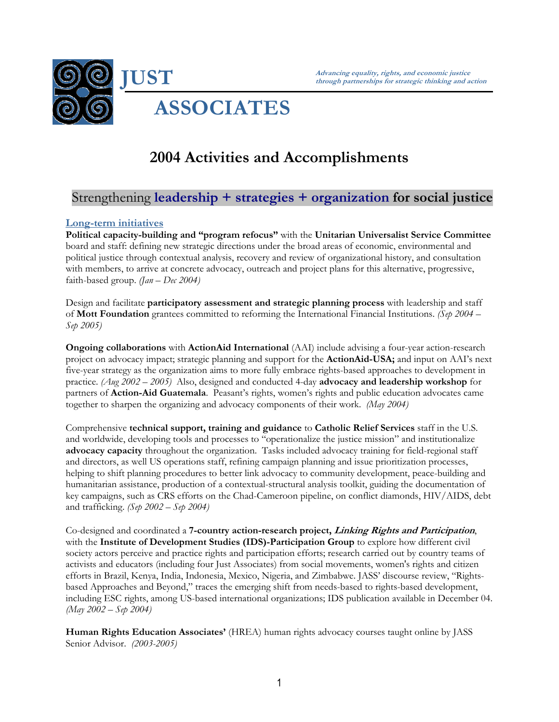

# **2004 Activities and Accomplishments**

# Strengthening **leadership + strategies + organization for social justice**

### **Long-term initiatives**

**Political capacity-building and "program refocus"** with the **Unitarian Universalist Service Committee** board and staff: defining new strategic directions under the broad areas of economic, environmental and political justice through contextual analysis, recovery and review of organizational history, and consultation with members, to arrive at concrete advocacy, outreach and project plans for this alternative, progressive, faith-based group. *(Jan – Dec 2004)* 

Design and facilitate **participatory assessment and strategic planning process** with leadership and staff of **Mott Foundation** grantees committed to reforming the International Financial Institutions. *(Sep 2004 – Sep 2005)* 

**Ongoing collaborations** with **ActionAid International** (AAI) include advising a four-year action-research project on advocacy impact; strategic planning and support for the **ActionAid-USA;** and input on AAI's next five-year strategy as the organization aims to more fully embrace rights-based approaches to development in practice. *(Aug 2002 – 2005)* Also, designed and conducted 4-day **advocacy and leadership workshop** for partners of **Action-Aid Guatemala**. Peasant's rights, women's rights and public education advocates came together to sharpen the organizing and advocacy components of their work. *(May 2004)*

Comprehensive **technical support, training and guidance** to **Catholic Relief Services** staff in the U.S. and worldwide, developing tools and processes to "operationalize the justice mission" and institutionalize **advocacy capacity** throughout the organization. Tasks included advocacy training for field-regional staff and directors, as well US operations staff, refining campaign planning and issue prioritization processes, helping to shift planning procedures to better link advocacy to community development, peace-building and humanitarian assistance, production of a contextual-structural analysis toolkit, guiding the documentation of key campaigns, such as CRS efforts on the Chad-Cameroon pipeline, on conflict diamonds, HIV/AIDS, debt and trafficking. *(Sep 2002 – Sep 2004)* 

Co-designed and coordinated a **7-country action-research project, Linking Rights and Participation**, with the **Institute of Development Studies (IDS)-Participation Group** to explore how different civil society actors perceive and practice rights and participation efforts; research carried out by country teams of activists and educators (including four Just Associates) from social movements, women's rights and citizen efforts in Brazil, Kenya, India, Indonesia, Mexico, Nigeria, and Zimbabwe. JASS' discourse review, "Rightsbased Approaches and Beyond," traces the emerging shift from needs-based to rights-based development, including ESC rights, among US-based international organizations; IDS publication available in December 04. *(May 2002 – Sep 2004)* 

**Human Rights Education Associates'** (HREA) human rights advocacy courses taught online by JASS Senior Advisor. *(2003-2005)*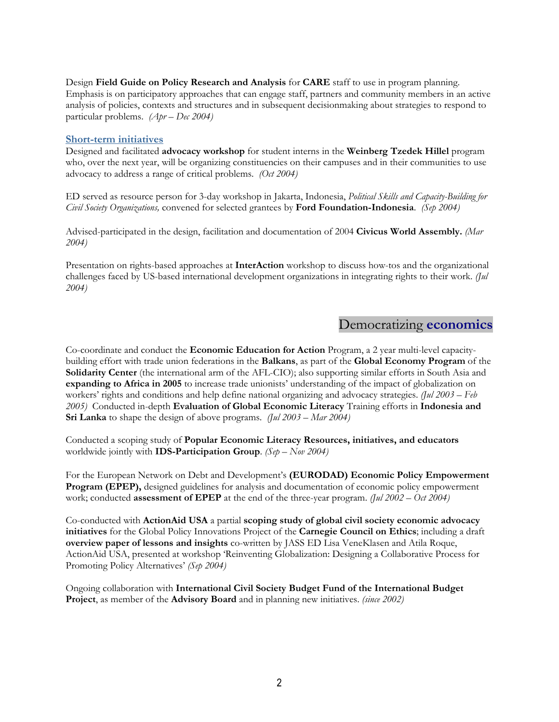Design **Field Guide on Policy Research and Analysis** for **CARE** staff to use in program planning. Emphasis is on participatory approaches that can engage staff, partners and community members in an active analysis of policies, contexts and structures and in subsequent decisionmaking about strategies to respond to particular problems. *(Apr – Dec 2004)* 

#### **Short-term initiatives**

Designed and facilitated **advocacy workshop** for student interns in the **Weinberg Tzedek Hillel** program who, over the next year, will be organizing constituencies on their campuses and in their communities to use advocacy to address a range of critical problems. *(Oct 2004)* 

ED served as resource person for 3-day workshop in Jakarta, Indonesia, *Political Skills and Capacity-Building for Civil Society Organizations,* convened for selected grantees by **Ford Foundation-Indonesia**. *(Sep 2004)* 

Advised-participated in the design, facilitation and documentation of 2004 **Civicus World Assembly.** *(Mar 2004)* 

Presentation on rights-based approaches at **InterAction** workshop to discuss how-tos and the organizational challenges faced by US-based international development organizations in integrating rights to their work. *(Jul 2004)* 

## Democratizing **economics**

Co-coordinate and conduct the **Economic Education for Action** Program, a 2 year multi-level capacitybuilding effort with trade union federations in the **Balkans**, as part of the **Global Economy Program** of the **Solidarity Center** (the international arm of the AFL-CIO); also supporting similar efforts in South Asia and **expanding to Africa in 2005** to increase trade unionists' understanding of the impact of globalization on workers' rights and conditions and help define national organizing and advocacy strategies. *(Jul 2003 – Feb 2005)* Conducted in-depth **Evaluation of Global Economic Literacy** Training efforts in **Indonesia and Sri Lanka** to shape the design of above programs. *(Jul 2003 – Mar 2004)*

Conducted a scoping study of **Popular Economic Literacy Resources, initiatives, and educators** worldwide jointly with **IDS-Participation Group**. *(Sep – Nov 2004)* 

For the European Network on Debt and Development's **(EURODAD) Economic Policy Empowerment Program (EPEP),** designed guidelines for analysis and documentation of economic policy empowerment work; conducted **assessment of EPEP** at the end of the three-year program. *(Jul 2002 – Oct 2004)* 

Co-conducted with **ActionAid USA** a partial **scoping study of global civil society economic advocacy initiatives** for the Global Policy Innovations Project of the **Carnegie Council on Ethics**; including a draft **overview paper of lessons and insights** co-written by JASS ED Lisa VeneKlasen and Atila Roque, ActionAid USA, presented at workshop 'Reinventing Globalization: Designing a Collaborative Process for Promoting Policy Alternatives' *(Sep 2004)*

Ongoing collaboration with **International Civil Society Budget Fund of the International Budget Project**, as member of the **Advisory Board** and in planning new initiatives. *(since 2002)*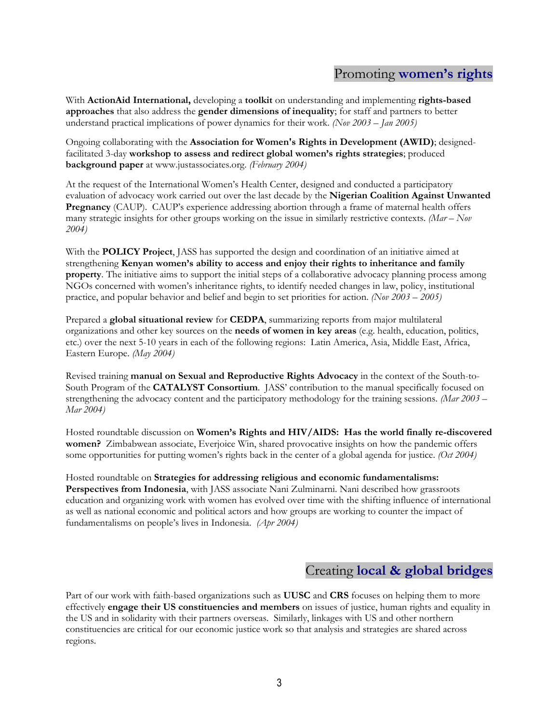# Promoting **women's rights**

With **ActionAid International,** developing a **toolkit** on understanding and implementing **rights-based approaches** that also address the **gender dimensions of inequality**; for staff and partners to better understand practical implications of power dynamics for their work. *(Nov 2003 – Jan 2005)* 

Ongoing collaborating with the **Association for Women's Rights in Development (AWID)**; designedfacilitated 3-day **workshop to assess and redirect global women's rights strategies**; produced **background paper** at www.justassociates.org. *(February 2004)* 

At the request of the International Women's Health Center, designed and conducted a participatory evaluation of advocacy work carried out over the last decade by the **Nigerian Coalition Against Unwanted Pregnancy** (CAUP). CAUP's experience addressing abortion through a frame of maternal health offers many strategic insights for other groups working on the issue in similarly restrictive contexts. *(Mar – Nov 2004)* 

With the **POLICY Project**, JASS has supported the design and coordination of an initiative aimed at strengthening **Kenyan women's ability to access and enjoy their rights to inheritance and family property**. The initiative aims to support the initial steps of a collaborative advocacy planning process among NGOs concerned with women's inheritance rights, to identify needed changes in law, policy, institutional practice, and popular behavior and belief and begin to set priorities for action. *(Nov 2003 – 2005)* 

Prepared a **global situational review** for **CEDPA**, summarizing reports from major multilateral organizations and other key sources on the **needs of women in key areas** (e.g. health, education, politics, etc.) over the next 5-10 years in each of the following regions: Latin America, Asia, Middle East, Africa, Eastern Europe. *(May 2004)*

Revised training **manual on Sexual and Reproductive Rights Advocacy** in the context of the South-to-South Program of the **CATALYST Consortium**. JASS' contribution to the manual specifically focused on strengthening the advocacy content and the participatory methodology for the training sessions. *(Mar 2003 – Mar 2004)* 

Hosted roundtable discussion on **Women's Rights and HIV/AIDS: Has the world finally re-discovered women?** Zimbabwean associate, Everjoice Win, shared provocative insights on how the pandemic offers some opportunities for putting women's rights back in the center of a global agenda for justice. *(Oct 2004)* 

Hosted roundtable on **Strategies for addressing religious and economic fundamentalisms: Perspectives from Indonesia**, with JASS associate Nani Zulminarni. Nani described how grassroots education and organizing work with women has evolved over time with the shifting influence of international as well as national economic and political actors and how groups are working to counter the impact of fundamentalisms on people's lives in Indonesia. *(Apr 2004)*

# Creating **local & global bridges**

Part of our work with faith-based organizations such as **UUSC** and **CRS** focuses on helping them to more effectively **engage their US constituencies and members** on issues of justice, human rights and equality in the US and in solidarity with their partners overseas. Similarly, linkages with US and other northern constituencies are critical for our economic justice work so that analysis and strategies are shared across regions.